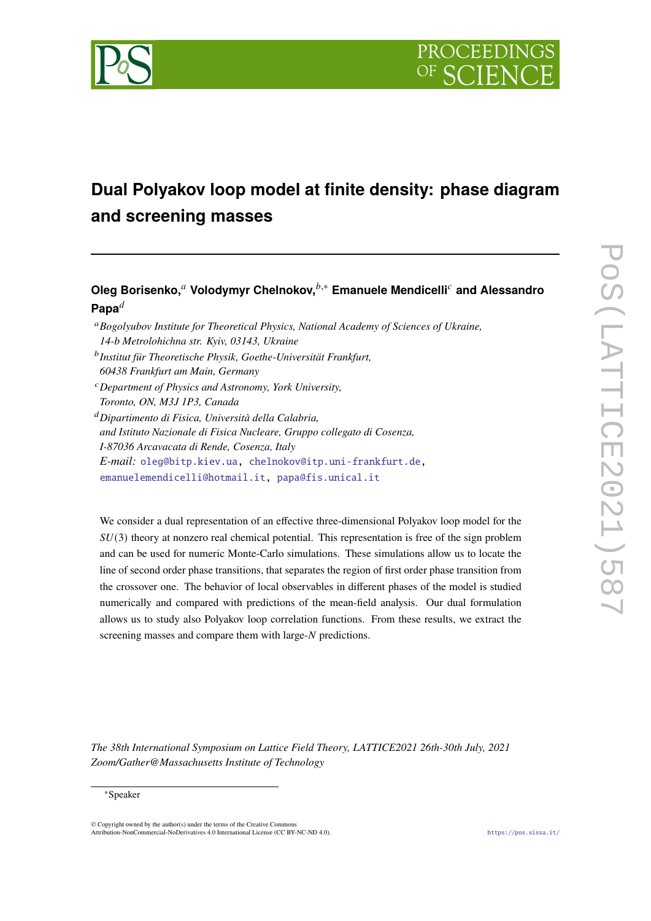

# **Dual Polyakov loop model at finite density: phase diagram and screening masses**

# **Oleg Borisenko,**<sup>*a*</sup> Volodymyr Chelnokov,<sup>*b*,∗</sup> Emanuele Mendicelli<sup>*c*</sup> and Alessandro **Papa**

- *Bogolyubov Institute for Theoretical Physics, National Academy of Sciences of Ukraine, 14-b Metrolohichna str. Kyiv, 03143, Ukraine*
- *Institut für Theoretische Physik, Goethe-Universität Frankfurt, 60438 Frankfurt am Main, Germany*
- *Department of Physics and Astronomy, York University, Toronto, ON, M3J 1P3, Canada*
- *Dipartimento di Fisica, Università della Calabria, and Istituto Nazionale di Fisica Nucleare, Gruppo collegato di Cosenza, I-87036 Arcavacata di Rende, Cosenza, Italy E-mail:* [oleg@bitp.kiev.ua,](mailto:oleg@bitp.kiev.ua) [chelnokov@itp.uni-frankfurt.de,](mailto:chelnokov@itp.uni-frankfurt.de) [emanuelemendicelli@hotmail.it,](mailto:emanuelemendicelli@hotmail.it) [papa@fis.unical.it](mailto:papa@fis.unical.it)

We consider a dual representation of an effective three-dimensional Polyakov loop model for the  $SU(3)$  theory at nonzero real chemical potential. This representation is free of the sign problem and can be used for numeric Monte-Carlo simulations. These simulations allow us to locate the line of second order phase transitions, that separates the region of first order phase transition from the crossover one. The behavior of local observables in different phases of the model is studied numerically and compared with predictions of the mean-field analysis. Our dual formulation allows us to study also Polyakov loop correlation functions. From these results, we extract the screening masses and compare them with large- $N$  predictions.

*The 38th International Symposium on Lattice Field Theory, LATTICE2021 26th-30th July, 2021 Zoom/Gather@Massachusetts Institute of Technology*

#### <sup>∗</sup>Speaker

 $\odot$  Copyright owned by the author(s) under the terms of the Creative Common Attribution-NonCommercial-NoDerivatives 4.0 International License (CC BY-NC-ND 4.0). <https://pos.sissa.it/>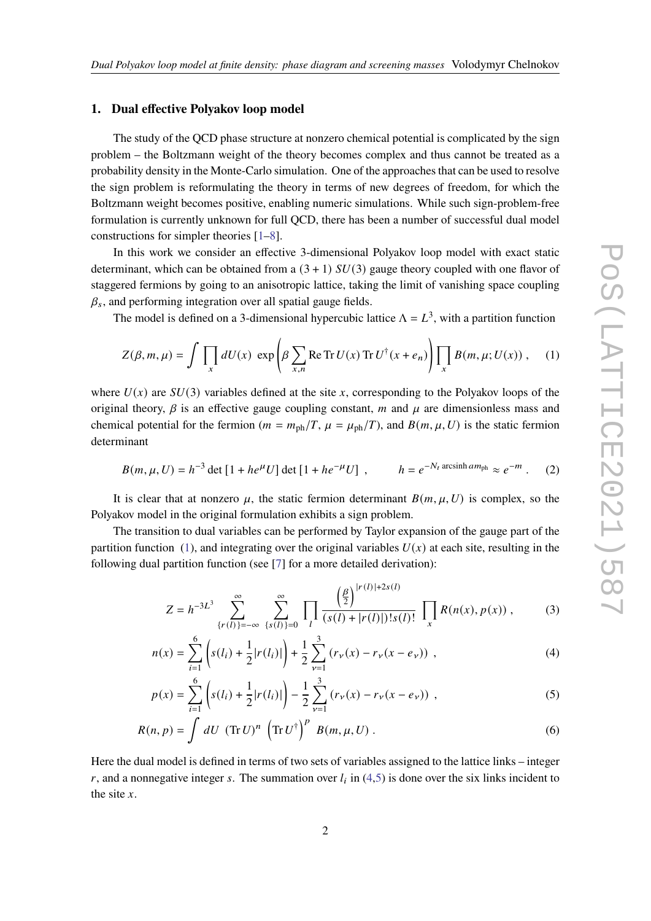#### **1. Dual effective Polyakov loop model**

The study of the QCD phase structure at nonzero chemical potential is complicated by the sign problem – the Boltzmann weight of the theory becomes complex and thus cannot be treated as a probability density in the Monte-Carlo simulation. One of the approaches that can be used to resolve the sign problem is reformulating the theory in terms of new degrees of freedom, for which the Boltzmann weight becomes positive, enabling numeric simulations. While such sign-problem-free formulation is currently unknown for full QCD, there has been a number of successful dual model constructions for simpler theories [\[1](#page-7-0)[–8\]](#page-7-1).

In this work we consider an effective 3-dimensional Polyakov loop model with exact static determinant, which can be obtained from a  $(3 + 1)$   $SU(3)$  gauge theory coupled with one flavor of staggered fermions by going to an anisotropic lattice, taking the limit of vanishing space coupling  $\beta_s$ , and performing integration over all spatial gauge fields.

The model is defined on a 3-dimensional hypercubic lattice  $\Lambda = L^3$ , with a partition function

<span id="page-1-0"></span>
$$
Z(\beta, m, \mu) = \int \prod_{x} dU(x) \exp \left( \beta \sum_{x, n} \text{Re Tr } U(x) \text{ Tr } U^{\dagger}(x + e_n) \right) \prod_{x} B(m, \mu; U(x)) , \quad (1)
$$

where  $U(x)$  are  $SU(3)$  variables defined at the site x, corresponding to the Polyakov loops of the original theory,  $\beta$  is an effective gauge coupling constant, m and  $\mu$  are dimensionless mass and chemical potential for the fermion ( $m = m_{\text{ph}}/T$ ,  $\mu = \mu_{\text{ph}}/T$ ), and  $B(m, \mu, U)$  is the static fermion determinant

$$
B(m, \mu, U) = h^{-3} \det [1 + h e^{\mu} U] \det [1 + h e^{-\mu} U] , \qquad h = e^{-N_t \operatorname{arcsinh} am_{\text{ph}}} \approx e^{-m} . \tag{2}
$$

It is clear that at nonzero  $\mu$ , the static fermion determinant  $B(m, \mu, U)$  is complex, so the Polyakov model in the original formulation exhibits a sign problem.

The transition to dual variables can be performed by Taylor expansion of the gauge part of the partition function [\(1\)](#page-1-0), and integrating over the original variables  $U(x)$  at each site, resulting in the following dual partition function (see [\[7\]](#page-7-2) for a more detailed derivation):

<span id="page-1-4"></span><span id="page-1-2"></span><span id="page-1-1"></span>
$$
Z = h^{-3L^3} \sum_{\{r(l)\}=-\infty}^{\infty} \sum_{\{s(l)\}=0}^{\infty} \prod_{l} \frac{\left(\frac{\beta}{2}\right)^{|r(l)|+2s(l)}}{(s(l)+|r(l)|)!s(l)!} \prod_{x} R(n(x), p(x)), \qquad (3)
$$

$$
n(x) = \sum_{i=1}^{6} \left( s(l_i) + \frac{1}{2} |r(l_i)| \right) + \frac{1}{2} \sum_{\nu=1}^{3} \left( r_{\nu}(x) - r_{\nu}(x - e_{\nu}) \right) , \tag{4}
$$

<span id="page-1-3"></span>
$$
p(x) = \sum_{i=1}^{6} \left( s(l_i) + \frac{1}{2} |r(l_i)| \right) - \frac{1}{2} \sum_{\nu=1}^{3} \left( r_{\nu}(x) - r_{\nu}(x - e_{\nu}) \right) , \tag{5}
$$

$$
R(n, p) = \int dU \, (\text{Tr}\, U)^n \, (\text{Tr}\, U^\dagger)^p \, B(m, \mu, U) \,. \tag{6}
$$

Here the dual model is defined in terms of two sets of variables assigned to the lattice links – integer r, and a nonnegative integer s. The summation over  $l_i$  in [\(4,](#page-1-1)[5\)](#page-1-2) is done over the six links incident to the site  $x$ .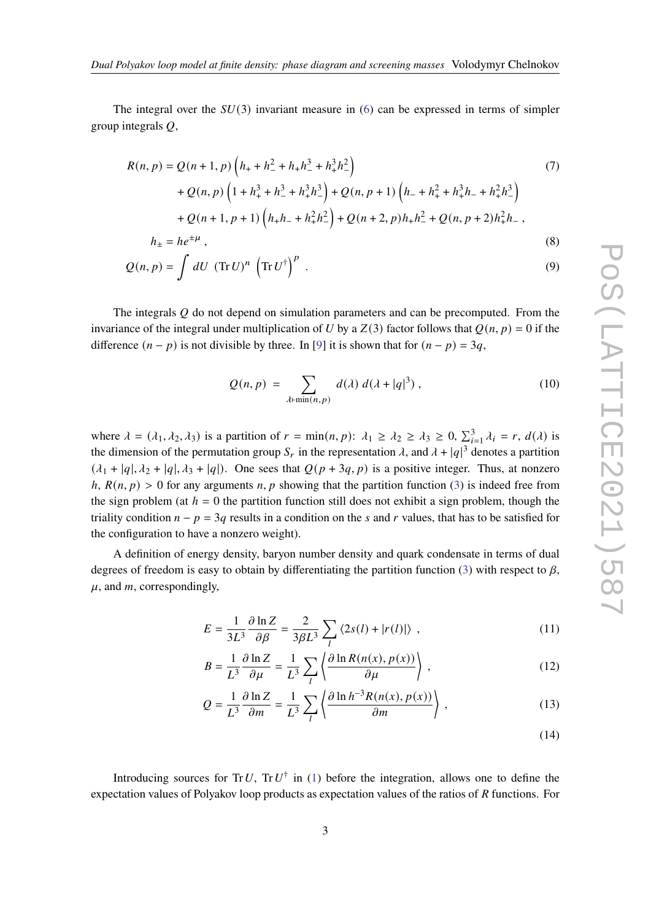The integral over the  $SU(3)$  invariant measure in [\(6\)](#page-1-3) can be expressed in terms of simpler group integrals  $Q$ ,

$$
R(n, p) = Q(n + 1, p) \left( h_{+} + h_{-}^{2} + h_{+} h_{-}^{3} + h_{+}^{3} h_{-}^{2} \right)
$$
  
+  $Q(n, p) \left( 1 + h_{+}^{3} + h_{-}^{3} + h_{+}^{3} h_{-}^{3} \right) + Q(n, p + 1) \left( h_{-} + h_{+}^{2} + h_{+}^{3} h_{-} + h_{+}^{2} h_{-}^{3} \right)$   
+  $Q(n + 1, p + 1) \left( h_{+} h_{-} + h_{+}^{2} h_{-}^{2} \right) + Q(n + 2, p) h_{+} h_{-}^{2} + Q(n, p + 2) h_{+}^{2} h_{-},$   

$$
h_{\pm} = h e^{\pm \mu},
$$
 (8)

$$
Q(n, p) = \int dU \, (\text{Tr}\, U)^n \, (\text{Tr}\, U^{\dagger})^p \, . \tag{9}
$$

The integrals  $\ddot{\theta}$  do not depend on simulation parameters and can be precomputed. From the invariance of the integral under multiplication of U by a  $Z(3)$  factor follows that  $Q(n, p) = 0$  if the difference  $(n - p)$  is not divisible by three. In [\[9\]](#page-7-3) it is shown that for  $(n - p) = 3q$ ,

$$
Q(n, p) = \sum_{\lambda \vdash \min(n, p)} d(\lambda) d(\lambda + |q|^3), \qquad (10)
$$

where  $\lambda = (\lambda_1, \lambda_2, \lambda_3)$  is a partition of  $r = \min(n, p)$ :  $\lambda_1 \ge \lambda_2 \ge \lambda_3 \ge 0$ ,  $\sum_{i=1}^3 \lambda_i = r$ ,  $d(\lambda)$  is the dimension of the permutation group  $S_r$  in the representation  $\lambda$ , and  $\lambda + |q|^3$  denotes a partition  $(\lambda_1 + |q|, \lambda_2 + |q|, \lambda_3 + |q|)$ . One sees that  $Q(p + 3q, p)$  is a positive integer. Thus, at nonzero  $h, R(n, p) > 0$  for any arguments n, p showing that the partition function [\(3\)](#page-1-4) is indeed free from the sign problem (at  $h = 0$  the partition function still does not exhibit a sign problem, though the triality condition  $n - p = 3q$  results in a condition on the s and r values, that has to be satisfied for the configuration to have a nonzero weight).

A definition of energy density, baryon number density and quark condensate in terms of dual degrees of freedom is easy to obtain by differentiating the partition function [\(3\)](#page-1-4) with respect to  $\beta$ ,  $\mu$ , and *m*, correspondingly,

$$
E = \frac{1}{3L^3} \frac{\partial \ln Z}{\partial \beta} = \frac{2}{3\beta L^3} \sum_{l} \langle 2s(l) + |r(l)| \rangle , \qquad (11)
$$

$$
B = \frac{1}{L^3} \frac{\partial \ln Z}{\partial \mu} = \frac{1}{L^3} \sum_{l} \left\langle \frac{\partial \ln R(n(x), p(x))}{\partial \mu} \right\rangle, \tag{12}
$$

$$
Q = \frac{1}{L^3} \frac{\partial \ln Z}{\partial m} = \frac{1}{L^3} \sum_{l} \left\{ \frac{\partial \ln h^{-3} R(n(x), p(x))}{\partial m} \right\},\tag{13}
$$

$$
(14)
$$

Introducing sources for Tr U, Tr U<sup> $\dagger$ </sup> in [\(1\)](#page-1-0) before the integration, allows one to define the expectation values of Polyakov loop products as expectation values of the ratios of  $R$  functions. For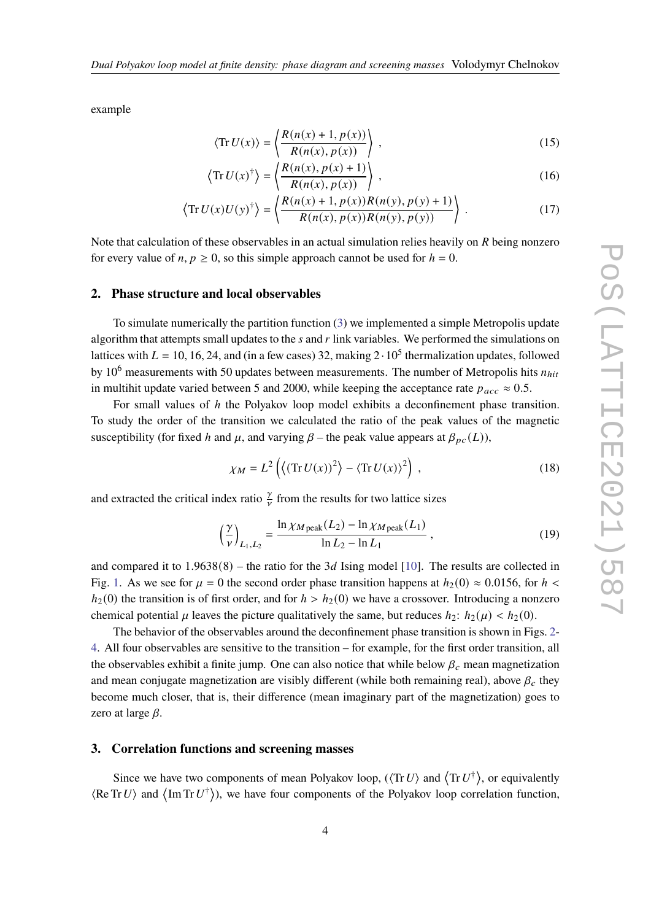example

$$
\langle \text{Tr}\, U(x) \rangle = \left\langle \frac{R(n(x) + 1, p(x))}{R(n(x), p(x))} \right\rangle, \tag{15}
$$

$$
\left\langle \text{Tr}\, U(x)^\dagger \right\rangle = \left\langle \frac{R(n(x), p(x) + 1)}{R(n(x), p(x))} \right\rangle, \tag{16}
$$

$$
\left\langle \text{Tr}\, U(x)U(y)^{\dagger} \right\rangle = \left\langle \frac{R(n(x) + 1, p(x))R(n(y), p(y) + 1)}{R(n(x), p(x))R(n(y), p(y))} \right\rangle \,. \tag{17}
$$

Note that calculation of these observables in an actual simulation relies heavily on  $R$  being nonzero for every value of  $n, p \ge 0$ , so this simple approach cannot be used for  $h = 0$ .

#### **2. Phase structure and local observables**

To simulate numerically the partition function [\(3\)](#page-1-4) we implemented a simple Metropolis update algorithm that attempts small updates to the  $s$  and  $r$  link variables. We performed the simulations on lattices with  $L = 10, 16, 24,$  and (in a few cases) 32, making  $2 \cdot 10^5$  thermalization updates, followed by 10<sup>6</sup> measurements with 50 updates between measurements. The number of Metropolis hits  $n_{hit}$ in multihit update varied between 5 and 2000, while keeping the acceptance rate  $p_{acc} \approx 0.5$ .

For small values of h the Polyakov loop model exhibits a deconfinement phase transition. To study the order of the transition we calculated the ratio of the peak values of the magnetic susceptibility (for fixed h and  $\mu$ , and varying  $\beta$  – the peak value appears at  $\beta_{pc}(L)$ ),

$$
\chi_M = L^2 \left( \left\langle (\operatorname{Tr} U(x))^2 \right\rangle - \left\langle \operatorname{Tr} U(x) \right\rangle^2 \right) , \tag{18}
$$

and extracted the critical index ratio  $\frac{\gamma}{\gamma}$  from the results for two lattice sizes

$$
\left(\frac{\gamma}{\nu}\right)_{L_1, L_2} = \frac{\ln \chi_{M\,\text{peak}}(L_2) - \ln \chi_{M\,\text{peak}}(L_1)}{\ln L_2 - \ln L_1},\tag{19}
$$

and compared it to  $1.9638(8)$  – the ratio for the 3d Ising model [\[10\]](#page-7-4). The results are collected in Fig. [1.](#page-4-0) As we see for  $\mu = 0$  the second order phase transition happens at  $h_2(0) \approx 0.0156$ , for  $h <$  $h_2(0)$  the transition is of first order, and for  $h > h_2(0)$  we have a crossover. Introducing a nonzero chemical potential  $\mu$  leaves the picture qualitatively the same, but reduces  $h_2$ :  $h_2(\mu) < h_2(0)$ .

The behavior of the observables around the deconfinement phase transition is shown in Figs. [2-](#page-4-1) [4.](#page-4-2) All four observables are sensitive to the transition – for example, for the first order transition, all the observables exhibit a finite jump. One can also notice that while below  $\beta_c$  mean magnetization and mean conjugate magnetization are visibly different (while both remaining real), above  $\beta_c$  they become much closer, that is, their difference (mean imaginary part of the magnetization) goes to zero at large  $\beta$ .

#### **3. Correlation functions and screening masses**

Since we have two components of mean Polyakov loop,  $(\langle \text{Tr} U \rangle)$  and  $\langle \text{Tr} U^{\dagger} \rangle$ , or equivalently  $\langle \text{Re Tr } U \rangle$  and  $\langle \text{Im Tr } U^{\dagger} \rangle$ ), we have four components of the Polyakov loop correlation function,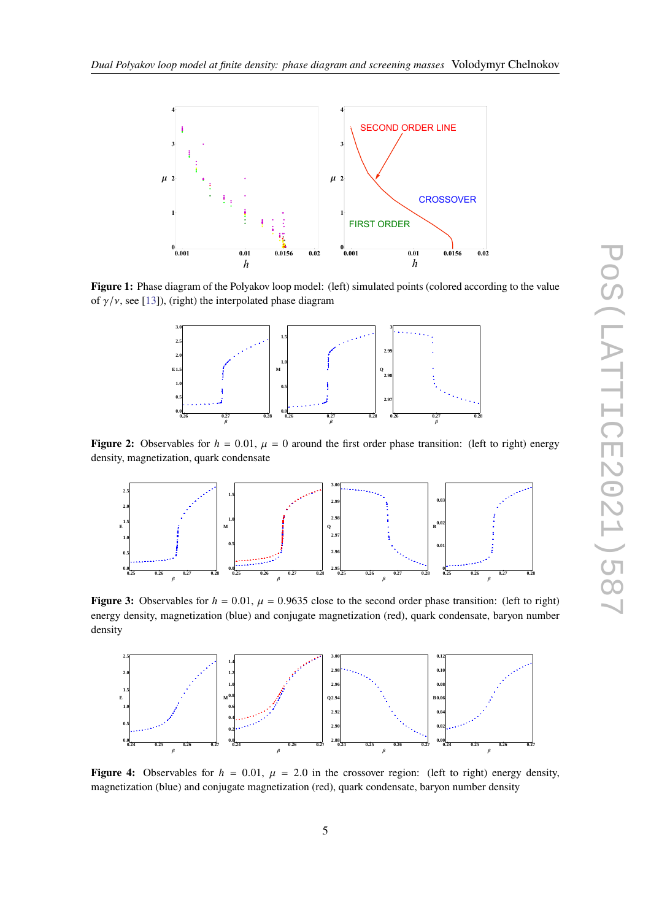<span id="page-4-0"></span>



<span id="page-4-1"></span>**Figure 1:** Phase diagram of the Polyakov loop model: (left) simulated points (colored according to the value of  $\gamma/\nu$ , see [\[13\]](#page-7-5)), (right) the interpolated phase diagram



**Figure 2:** Observables for  $h = 0.01$ ,  $\mu = 0$  around the first order phase transition: (left to right) energy density, magnetization, quark condensate



**Figure 3:** Observables for  $h = 0.01$ ,  $\mu = 0.9635$  close to the second order phase transition: (left to right) energy density, magnetization (blue) and conjugate magnetization (red), quark condensate, baryon number density

<span id="page-4-2"></span>

**Figure 4:** Observables for  $h = 0.01$ ,  $\mu = 2.0$  in the crossover region: (left to right) energy density, magnetization (blue) and conjugate magnetization (red), quark condensate, baryon number density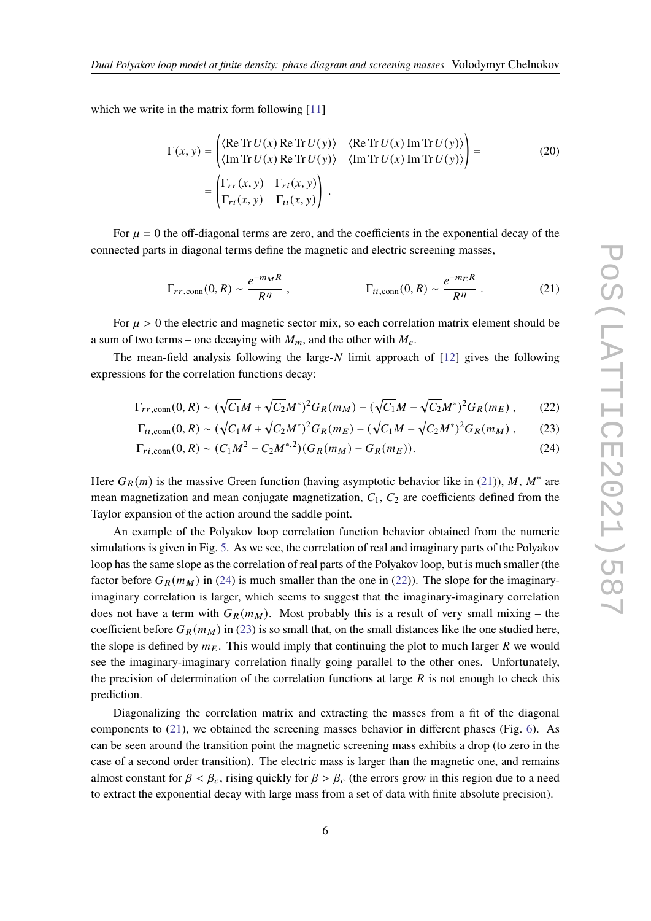which we write in the matrix form following [\[11\]](#page-7-6)

$$
\Gamma(x, y) = \begin{pmatrix} \langle \text{Re Tr } U(x) \text{ Re Tr } U(y) \rangle & \langle \text{Re Tr } U(x) \text{ Im Tr } U(y) \rangle \\ \langle \text{Im Tr } U(x) \text{ Re Tr } U(y) \rangle & \langle \text{Im Tr } U(x) \text{ Im Tr } U(y) \rangle \end{pmatrix} = \begin{pmatrix} \Gamma_{rr}(x, y) & \Gamma_{ri}(x, y) \\ \Gamma_{ri}(x, y) & \Gamma_{ii}(x, y) \end{pmatrix} . \tag{20}
$$

For  $\mu = 0$  the off-diagonal terms are zero, and the coefficients in the exponential decay of the connected parts in diagonal terms define the magnetic and electric screening masses,

<span id="page-5-3"></span><span id="page-5-2"></span><span id="page-5-0"></span>
$$
\Gamma_{rr,\text{conn}}(0,R) \sim \frac{e^{-m_M R}}{R^{\eta}}\,,\qquad \Gamma_{ii,\text{conn}}(0,R) \sim \frac{e^{-m_E R}}{R^{\eta}}\,. \tag{21}
$$

For  $\mu > 0$  the electric and magnetic sector mix, so each correlation matrix element should be a sum of two terms – one decaying with  $M_m$ , and the other with  $M_e$ .

The mean-field analysis following the large- $N$  limit approach of [\[12\]](#page-7-7) gives the following expressions for the correlation functions decay:

$$
\Gamma_{rr,\text{conn}}(0,R) \sim (\sqrt{C_1}M + \sqrt{C_2}M^*)^2 G_R(m_M) - (\sqrt{C_1}M - \sqrt{C_2}M^*)^2 G_R(m_E),\tag{22}
$$

<span id="page-5-1"></span>
$$
\Gamma_{ii,\text{conn}}(0,R) \sim (\sqrt{C_1}M + \sqrt{C_2}M^*)^2 G_R(m_E) - (\sqrt{C_1}M - \sqrt{C_2}M^*)^2 G_R(m_M),\tag{23}
$$

$$
\Gamma_{ri, \text{conn}}(0, R) \sim (C_1 M^2 - C_2 M^{*,2})(G_R(m_M) - G_R(m_E)).
$$
\n(24)

Here  $G_R(m)$  is the massive Green function (having asymptotic behavior like in [\(21\)](#page-5-0)), M, M<sup>\*</sup> are mean magnetization and mean conjugate magnetization,  $C_1$ ,  $C_2$  are coefficients defined from the Taylor expansion of the action around the saddle point.

An example of the Polyakov loop correlation function behavior obtained from the numeric simulations is given in Fig. [5.](#page-6-0) As we see, the correlation of real and imaginary parts of the Polyakov loop has the same slope as the correlation of real parts of the Polyakov loop, but is much smaller (the factor before  $G_R(m_M)$  in [\(24\)](#page-5-1) is much smaller than the one in [\(22\)](#page-5-2)). The slope for the imaginaryimaginary correlation is larger, which seems to suggest that the imaginary-imaginary correlation does not have a term with  $G_R(m_M)$ . Most probably this is a result of very small mixing – the coefficient before  $G_R(m_M)$  in [\(23\)](#page-5-3) is so small that, on the small distances like the one studied here, the slope is defined by  $m_E$ . This would imply that continuing the plot to much larger  $R$  we would see the imaginary-imaginary correlation finally going parallel to the other ones. Unfortunately, the precision of determination of the correlation functions at large  $\overline{R}$  is not enough to check this prediction.

Diagonalizing the correlation matrix and extracting the masses from a fit of the diagonal components to [\(21\)](#page-5-0), we obtained the screening masses behavior in different phases (Fig. [6\)](#page-6-1). As can be seen around the transition point the magnetic screening mass exhibits a drop (to zero in the case of a second order transition). The electric mass is larger than the magnetic one, and remains almost constant for  $\beta < \beta_c$ , rising quickly for  $\beta > \beta_c$  (the errors grow in this region due to a need to extract the exponential decay with large mass from a set of data with finite absolute precision).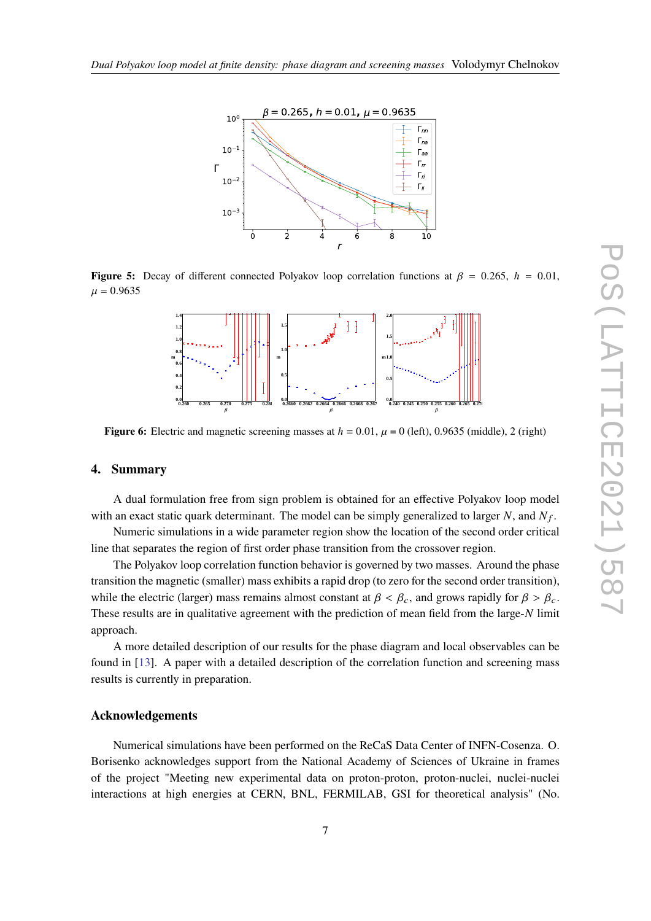<span id="page-6-0"></span>

<span id="page-6-1"></span>**Figure 5:** Decay of different connected Polyakov loop correlation functions at  $\beta = 0.265$ ,  $h = 0.01$ ,  $\mu = 0.9635$ 



**Figure 6:** Electric and magnetic screening masses at  $h = 0.01$ ,  $\mu = 0$  (left), 0.9635 (middle), 2 (right)

#### **4. Summary**

A dual formulation free from sign problem is obtained for an effective Polyakov loop model with an exact static quark determinant. The model can be simply generalized to larger N, and  $N_f$ .

Numeric simulations in a wide parameter region show the location of the second order critical line that separates the region of first order phase transition from the crossover region.

The Polyakov loop correlation function behavior is governed by two masses. Around the phase transition the magnetic (smaller) mass exhibits a rapid drop (to zero for the second order transition), while the electric (larger) mass remains almost constant at  $\beta < \beta_c$ , and grows rapidly for  $\beta > \beta_c$ . These results are in qualitative agreement with the prediction of mean field from the large- $N$  limit approach.

A more detailed description of our results for the phase diagram and local observables can be found in [\[13\]](#page-7-5). A paper with a detailed description of the correlation function and screening mass results is currently in preparation.

## **Acknowledgements**

Numerical simulations have been performed on the ReCaS Data Center of INFN-Cosenza. O. Borisenko acknowledges support from the National Academy of Sciences of Ukraine in frames of the project "Meeting new experimental data on proton-proton, proton-nuclei, nuclei-nuclei interactions at high energies at CERN, BNL, FERMILAB, GSI for theoretical analysis" (No.